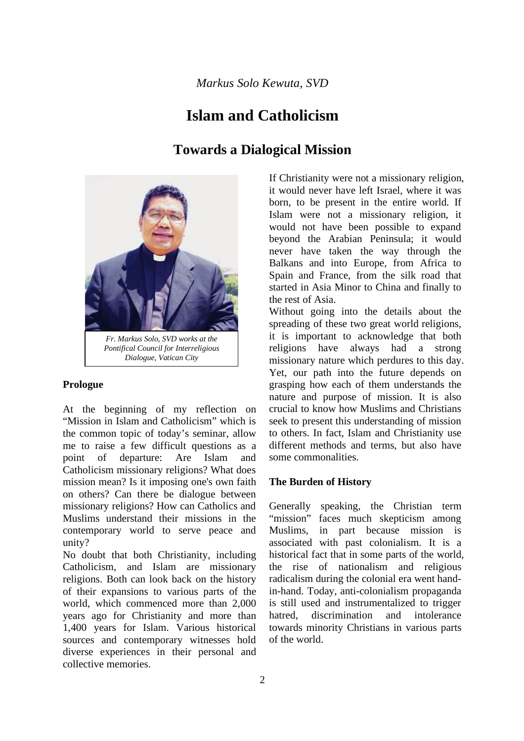# **Islam and Catholicism**

# **Towards a Dialogical Mission**



*Pontifical Council for Interreligious Dialogue, Vatican City*

## **Prologue**

At the beginning of my reflection on "Mission in Islam and Catholicism" which is the common topic of today's seminar, allow me to raise a few difficult questions as a point of departure: Are Islam and Catholicism missionary religions? What does mission mean? Is it imposing one's own faith on others? Can there be dialogue between missionary religions? How can Catholics and Muslims understand their missions in the contemporary world to serve peace and unity?

No doubt that both Christianity, including Catholicism, and Islam are missionary religions. Both can look back on the history of their expansions to various parts of the world, which commenced more than 2,000 years ago for Christianity and more than 1,400 years for Islam. Various historical sources and contemporary witnesses hold diverse experiences in their personal and collective memories.

If Christianity were not a missionary religion, it would never have left Israel, where it was born, to be present in the entire world. If Islam were not a missionary religion, it would not have been possible to expand beyond the Arabian Peninsula; it would never have taken the way through the Balkans and into Europe, from Africa to Spain and France, from the silk road that started in Asia Minor to China and finally to the rest of Asia.

Without going into the details about the spreading of these two great world religions, it is important to acknowledge that both religions have always had a strong missionary nature which perdures to this day. Yet, our path into the future depends on grasping how each of them understands the nature and purpose of mission. It is also crucial to know how Muslims and Christians seek to present this understanding of mission to others. In fact, Islam and Christianity use different methods and terms, but also have some commonalities.

## **The Burden of History**

Generally speaking, the Christian term "mission" faces much skepticism among Muslims, in part because mission is associated with past colonialism. It is a historical fact that in some parts of the world, the rise of nationalism and religious radicalism during the colonial era went handin-hand. Today, anti-colonialism propaganda is still used and instrumentalized to trigger hatred, discrimination and intolerance towards minority Christians in various parts of the world.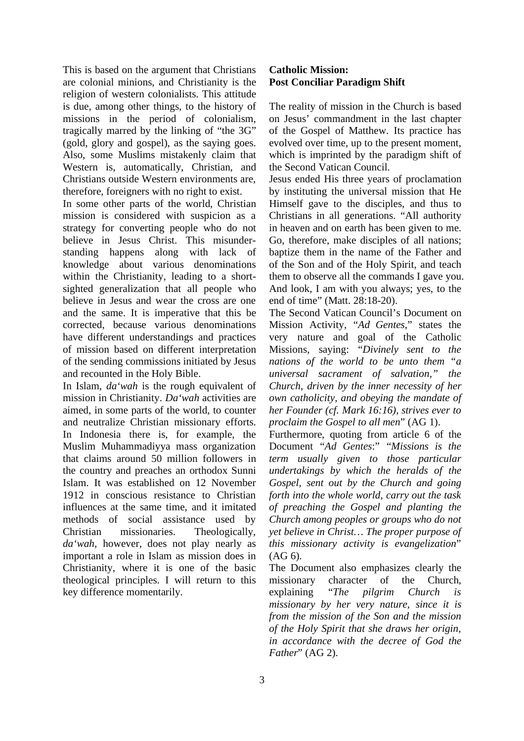This is based on the argument that Christians are colonial minions, and Christianity is the religion of western colonialists. This attitude is due, among other things, to the history of missions in the period of colonialism, tragically marred by the linking of "the 3G" (gold, glory and gospel), as the saying goes. Also, some Muslims mistakenly claim that Western is, automatically, Christian, and Christians outside Western environments are, therefore, foreigners with no right to exist.

In some other parts of the world, Christian mission is considered with suspicion as a strategy for converting people who do not believe in Jesus Christ. This misunderstanding happens along with lack of knowledge about various denominations within the Christianity, leading to a shortsighted generalization that all people who believe in Jesus and wear the cross are one and the same. It is imperative that this be corrected, because various denominations have different understandings and practices of mission based on different interpretation of the sending commissions initiated by Jesus and recounted in the Holy Bible.

In Islam, *da'wah* is the rough equivalent of mission in Christianity. *Da'wah* activities are aimed, in some parts of the world, to counter and neutralize Christian missionary efforts. In Indonesia there is, for example, the Muslim Muhammadiyya mass organization that claims around 50 million followers in the country and preaches an orthodox Sunni Islam. It was established on 12 November 1912 in conscious resistance to Christian influences at the same time, and it imitated methods of social assistance used by Christian missionaries. Theologically, *da'wah*, however, does not play nearly as important a role in Islam as mission does in Christianity, where it is one of the basic theological principles. I will return to this key difference momentarily.

#### **Catholic Mission: Post Conciliar Paradigm Shift**

The reality of mission in the Church is based on Jesus' commandment in the last chapter of the Gospel of Matthew. Its practice has evolved over time, up to the present moment, which is imprinted by the paradigm shift of the Second Vatican Council.

Jesus ended His three years of proclamation by instituting the universal mission that He Himself gave to the disciples, and thus to Christians in all generations. "All authority in heaven and on earth has been given to me. Go, therefore, make disciples of all nations; baptize them in the name of the Father and of the Son and of the Holy Spirit, and teach them to observe all the commands I gave you. And look, I am with you always; yes, to the end of time" (Matt. 28:18-20).

The Second Vatican Council's Document on Mission Activity, "*Ad Gentes*," states the very nature and goal of the Catholic Missions, saying: "*Divinely sent to the nations of the world to be unto them "a universal sacrament of salvation," the Church, driven by the inner necessity of her own catholicity, and obeying the mandate of her Founder (cf. Mark 16:16), strives ever to proclaim the Gospel to all men*" (AG 1).

Furthermore, quoting from article 6 of the Document "*Ad Gentes*:" "*Missions is the term usually given to those particular undertakings by which the heralds of the Gospel, sent out by the Church and going forth into the whole world, carry out the task of preaching the Gospel and planting the Church among peoples or groups who do not yet believe in Christ… The proper purpose of this missionary activity is evangelization*" (AG 6).

The Document also emphasizes clearly the missionary character of the Church, explaining "*The pilgrim Church is missionary by her very nature, since it is from the mission of the Son and the mission of the Holy Spirit that she draws her origin, in accordance with the decree of God the Father*" (AG 2).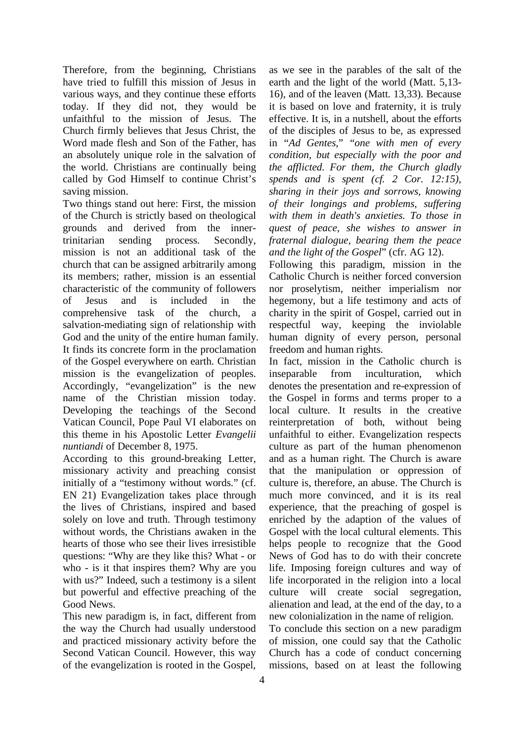Therefore, from the beginning, Christians have tried to fulfill this mission of Jesus in various ways, and they continue these efforts today. If they did not, they would be unfaithful to the mission of Jesus. The Church firmly believes that Jesus Christ, the Word made flesh and Son of the Father, has an absolutely unique role in the salvation of the world. Christians are continually being called by God Himself to continue Christ's saving mission.

Two things stand out here: First, the mission of the Church is strictly based on theological grounds and derived from the innertrinitarian sending process. Secondly, mission is not an additional task of the church that can be assigned arbitrarily among its members; rather, mission is an essential characteristic of the community of followers of Jesus and is included in the comprehensive task of the church, a salvation-mediating sign of relationship with God and the unity of the entire human family. It finds its concrete form in the proclamation of the Gospel everywhere on earth. Christian mission is the evangelization of peoples. Accordingly, "evangelization" is the new name of the Christian mission today. Developing the teachings of the Second Vatican Council, Pope Paul VI elaborates on this theme in his Apostolic Letter *Evangelii nuntiandi* of December 8, 1975.

According to this ground-breaking Letter, missionary activity and preaching consist initially of a "testimony without words." (cf. EN 21) Evangelization takes place through the lives of Christians, inspired and based solely on love and truth. Through testimony without words, the Christians awaken in the hearts of those who see their lives irresistible questions: "Why are they like this? What - or who - is it that inspires them? Why are you with us?" Indeed, such a testimony is a silent but powerful and effective preaching of the Good News.

This new paradigm is, in fact, different from the way the Church had usually understood and practiced missionary activity before the Second Vatican Council. However, this way of the evangelization is rooted in the Gospel,

as we see in the parables of the salt of the earth and the light of the world (Matt. 5,13- 16), and of the leaven (Matt. 13,33). Because it is based on love and fraternity, it is truly effective. It is, in a nutshell, about the efforts of the disciples of Jesus to be, as expressed in "*Ad Gentes*," "*one with men of every condition, but especially with the poor and the afflicted. For them, the Church gladly spends and is spent (cf. 2 Cor. 12:15), sharing in their joys and sorrows, knowing of their longings and problems, suffering with them in death's anxieties. To those in quest of peace, she wishes to answer in fraternal dialogue, bearing them the peace and the light of the Gospel*" (cfr. AG 12).

Following this paradigm, mission in the Catholic Church is neither forced conversion nor proselytism, neither imperialism nor hegemony, but a life testimony and acts of charity in the spirit of Gospel, carried out in respectful way, keeping the inviolable human dignity of every person, personal freedom and human rights.

In fact, mission in the Catholic church is inseparable from inculturation, which denotes the presentation and re-expression of the Gospel in forms and terms proper to a local culture. It results in the creative reinterpretation of both, without being unfaithful to either. Evangelization respects culture as part of the human phenomenon and as a human right. The Church is aware that the manipulation or oppression of culture is, therefore, an abuse. The Church is much more convinced, and it is its real experience, that the preaching of gospel is enriched by the adaption of the values of Gospel with the local cultural elements. This helps people to recognize that the Good News of God has to do with their concrete life. Imposing foreign cultures and way of life incorporated in the religion into a local culture will create social segregation, alienation and lead, at the end of the day, to a new colonialization in the name of religion.

To conclude this section on a new paradigm of mission, one could say that the Catholic Church has a code of conduct concerning missions, based on at least the following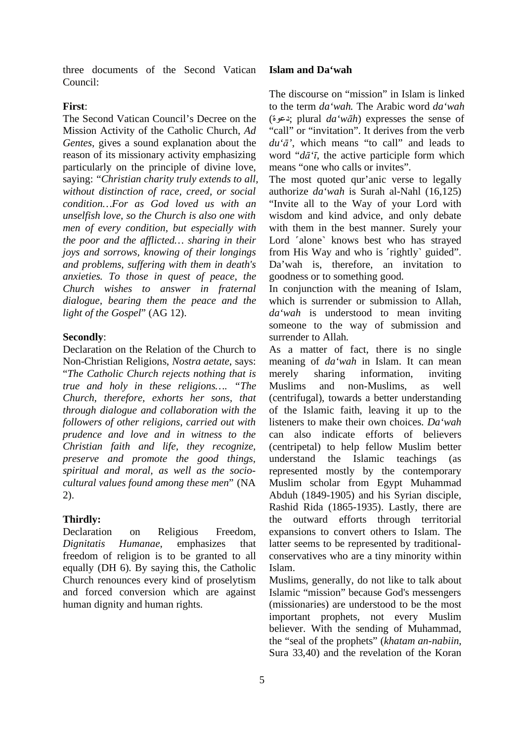three documents of the Second Vatican Council:

## **First**:

The Second Vatican Council's Decree on the Mission Activity of the Catholic Church, *Ad Gentes*, gives a sound explanation about the reason of its missionary activity emphasizing particularly on the principle of divine love, saying: "*Christian charity truly extends to all, without distinction of race, creed, or social condition…For as God loved us with an unselfish love, so the Church is also one with men of every condition, but especially with the poor and the afflicted… sharing in their joys and sorrows, knowing of their longings and problems, suffering with them in death's anxieties. To those in quest of peace, the Church wishes to answer in fraternal dialogue, bearing them the peace and the light of the Gospel*" (AG 12).

## **Secondly**:

Declaration on the Relation of the Church to Non-Christian Religions, *Nostra aetate*, says: "*The Catholic Church rejects nothing that is true and holy in these religions…. "The Church, therefore, exhorts her sons, that through dialogue and collaboration with the followers of other religions, carried out with prudence and love and in witness to the Christian faith and life, they recognize, preserve and promote the good things, spiritual and moral, as well as the sociocultural values found among these men*" (NA 2).

## **Thirdly:**

Declaration on Religious Freedom, *Dignitatis Humanae*, emphasizes that freedom of religion is to be granted to all equally (DH 6). By saying this, the Catholic Church renounces every kind of proselytism and forced conversion which are against human dignity and human rights.

#### **Islam and Da'wah**

The discourse on "mission" in Islam is linked to the term *da'wah.* The Arabic word *da'wah* ( ةوعد ; plural *da'wāh*) expresses the sense of "call" or "invitation". It derives from the verb *du'ā'*, which means "to call" and leads to word "*dā'ī*, the active participle form which means "one who calls or invites".

The most quoted qur'anic verse to legally authorize *da'wah* is Surah al-Nahl (16,125) "Invite all to the Way of your Lord with wisdom and kind advice, and only debate with them in the best manner. Surely your Lord 'alone' knows best who has strayed from His Way and who is 'rightly' guided". Da'wah is, therefore, an invitation to goodness or to something good.

In conjunction with the meaning of Islam, which is surrender or submission to Allah, *da'wah* is understood to mean inviting someone to the way of submission and surrender to Allah.

As a matter of fact, there is no single meaning of *da'wah* in Islam. It can mean merely sharing information, inviting Muslims and non-Muslims, as well (centrifugal), towards a better understanding of the Islamic faith, leaving it up to the listeners to make their own choices. *Da'wah* can also indicate efforts of believers (centripetal) to help fellow Muslim better understand the Islamic teachings (as represented mostly by the contemporary Muslim scholar from Egypt Muhammad Abduh (1849-1905) and his Syrian disciple, Rashid Rida (1865-1935). Lastly, there are the outward efforts through territorial expansions to convert others to Islam. The latter seems to be represented by traditionalconservatives who are a tiny minority within Islam.

Muslims, generally, do not like to talk about Islamic "mission" because God's messengers (missionaries) are understood to be the most important prophets, not every Muslim believer. With the sending of Muhammad, the "seal of the prophets" (*khatam an-nabiin*, Sura 33,40) and the revelation of the Koran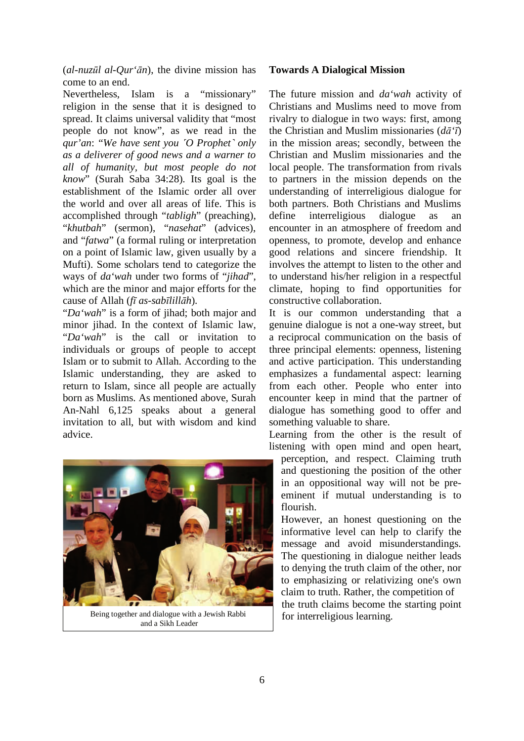(*al-nuzūl al-Qur'ān*), the divine mission has come to an end.

Nevertheless, Islam is a "missionary" religion in the sense that it is designed to spread. It claims universal validity that "most people do not know", as we read in the *qur'an*: "*We have sent you ˹O Prophet˺ only as a deliverer of good news and a warner to all of humanity, but most people do not know*" (Surah Saba 34:28). Its goal is the establishment of the Islamic order all over the world and over all areas of life. This is accomplished through "*tabligh*" (preaching), "*khutbah*" (sermon), "*nasehat*" (advices), and "*fatwa*" (a formal ruling or interpretation on a point of Islamic law, given usually by a Mufti). Some scholars tend to categorize the ways of *da'wah* under two forms of "*jihad*", which are the minor and major efforts for the cause of Allah (*fī as-sabīlillāh*).

"*Da'wah*" is a form of jihad; both major and minor jihad. In the context of Islamic law, "*Da'wah*" is the call or invitation to individuals or groups of people to accept Islam or to submit to Allah. According to the Islamic understanding, they are asked to return to Islam, since all people are actually born as Muslims. As mentioned above, Surah An-Nahl 6,125 speaks about a general invitation to all, but with wisdom and kind advice.



Being together and dialogue with a Jewish Rabbi and a Sikh Leader

#### **Towards A Dialogical Mission**

The future mission and *da'wah* activity of Christians and Muslims need to move from rivalry to dialogue in two ways: first, among the Christian and Muslim missionaries (*dā'ī*) in the mission areas; secondly, between the Christian and Muslim missionaries and the local people. The transformation from rivals to partners in the mission depends on the understanding of interreligious dialogue for both partners. Both Christians and Muslims define interreligious dialogue as an encounter in an atmosphere of freedom and openness, to promote, develop and enhance good relations and sincere friendship. It involves the attempt to listen to the other and to understand his/her religion in a respectful climate, hoping to find opportunities for constructive collaboration.

It is our common understanding that a genuine dialogue is not a one-way street, but a reciprocal communication on the basis of three principal elements: openness, listening and active participation. This understanding emphasizes a fundamental aspect: learning from each other. People who enter into encounter keep in mind that the partner of dialogue has something good to offer and something valuable to share.

Learning from the other is the result of listening with open mind and open heart,

perception, and respect. Claiming truth and questioning the position of the other in an oppositional way will not be preeminent if mutual understanding is to flourish.

However, an honest questioning on the informative level can help to clarify the message and avoid misunderstandings. The questioning in dialogue neither leads to denying the truth claim of the other, nor to emphasizing or relativizing one's own claim to truth. Rather, the competition of the truth claims become the starting point for interreligious learning.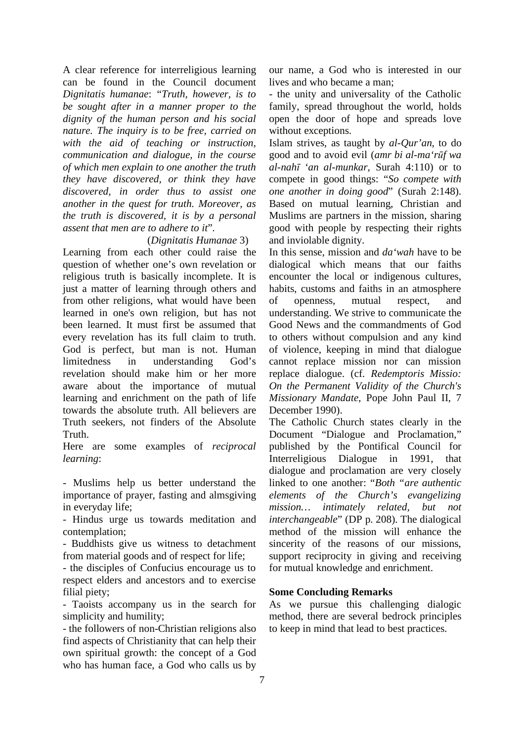A clear reference for interreligious learning can be found in the Council document *Dignitatis humanae*: "*Truth, however, is to be sought after in a manner proper to the dignity of the human person and his social nature. The inquiry is to be free, carried on with the aid of teaching or instruction, communication and dialogue, in the course of which men explain to one another the truth they have discovered, or think they have discovered, in order thus to assist one another in the quest for truth. Moreover, as the truth is discovered, it is by a personal assent that men are to adhere to it*".

#### (*Dignitatis Humanae* 3)

Learning from each other could raise the question of whether one's own revelation or religious truth is basically incomplete. It is just a matter of learning through others and from other religions, what would have been learned in one's own religion, but has not been learned. It must first be assumed that every revelation has its full claim to truth. God is perfect, but man is not. Human limitedness in understanding God's revelation should make him or her more aware about the importance of mutual learning and enrichment on the path of life towards the absolute truth. All believers are Truth seekers, not finders of the Absolute Truth.

Here are some examples of *reciprocal learning*:

- Muslims help us better understand the importance of prayer, fasting and almsgiving in everyday life;

- Hindus urge us towards meditation and contemplation;

- Buddhists give us witness to detachment from material goods and of respect for life;

- the disciples of Confucius encourage us to respect elders and ancestors and to exercise filial piety;

- Taoists accompany us in the search for simplicity and humility;

- the followers of non-Christian religions also find aspects of Christianity that can help their own spiritual growth: the concept of a God who has human face, a God who calls us by

our name, a God who is interested in our lives and who became a man;

- the unity and universality of the Catholic family, spread throughout the world, holds open the door of hope and spreads love without exceptions.

Islam strives, as taught by *al-Qur'an*, to do good and to avoid evil (*amr bi al-ma'rūf wa al-nahī 'an al-munkar*, Surah 4:110) or to compete in good things: "*So compete with one another in doing good*" (Surah 2:148). Based on mutual learning, Christian and Muslims are partners in the mission, sharing good with people by respecting their rights and inviolable dignity.

In this sense, mission and *da'wah* have to be dialogical which means that our faiths encounter the local or indigenous cultures, habits, customs and faiths in an atmosphere of openness, mutual respect, and understanding. We strive to communicate the Good News and the commandments of God to others without compulsion and any kind of violence, keeping in mind that dialogue cannot replace mission nor can mission replace dialogue. (cf. *Redemptoris Missio: On the Permanent Validity of the Church's Missionary Mandate*, Pope John Paul II, 7 December 1990).

The Catholic Church states clearly in the Document "Dialogue and Proclamation," published by the Pontifical Council for Interreligious Dialogue in 1991, that dialogue and proclamation are very closely linked to one another: "*Both "are authentic elements of the Church's evangelizing mission… intimately related, but not interchangeable*" (DP p. 208). The dialogical method of the mission will enhance the sincerity of the reasons of our missions, support reciprocity in giving and receiving for mutual knowledge and enrichment.

#### **Some Concluding Remarks**

As we pursue this challenging dialogic method, there are several bedrock principles to keep in mind that lead to best practices.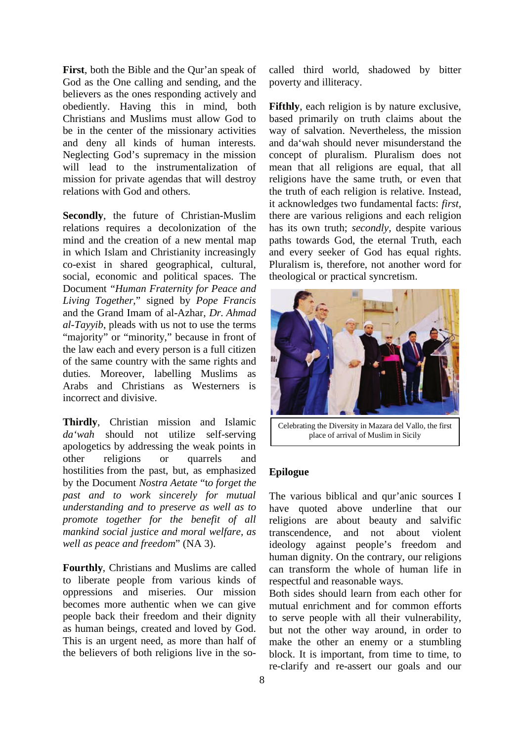**First**, both the Bible and the Qur'an speak of God as the One calling and sending, and the believers as the ones responding actively and obediently. Having this in mind, both Christians and Muslims must allow God to be in the center of the missionary activities and deny all kinds of human interests. Neglecting God's supremacy in the mission will lead to the instrumentalization of mission for private agendas that will destroy relations with God and others.

**Secondly**, the future of Christian-Muslim relations requires a decolonization of the mind and the creation of a new mental map in which Islam and Christianity increasingly co-exist in shared geographical, cultural, social, economic and political spaces. The Document "*Human Fraternity for Peace and Living Together*," signed by *Pope Francis* and the Grand Imam of al-Azhar, *Dr. Ahmad al-Tayyib*, pleads with us not to use the terms "majority" or "minority," because in front of the law each and every person is a full citizen of the same country with the same rights and duties. Moreover, labelling Muslims as Arabs and Christians as Westerners is incorrect and divisive.

**Thirdly**, Christian mission and Islamic *da'wah* should not utilize self-serving apologetics by addressing the weak points in other religions or quarrels and hostilities from the past, but, as emphasized by the Document *Nostra Aetate* "t*o forget the past and to work sincerely for mutual understanding and to preserve as well as to promote together for the benefit of all mankind social justice and moral welfare, as well as peace and freedom*" (NA 3).

**Fourthly**, Christians and Muslims are called to liberate people from various kinds of oppressions and miseries. Our mission becomes more authentic when we can give people back their freedom and their dignity as human beings, created and loved by God. This is an urgent need, as more than half of the believers of both religions live in the socalled third world, shadowed by bitter poverty and illiteracy.

**Fifthly**, each religion is by nature exclusive, based primarily on truth claims about the way of salvation. Nevertheless, the mission and da'wah should never misunderstand the concept of pluralism. Pluralism does not mean that all religions are equal, that all religions have the same truth, or even that the truth of each religion is relative. Instead, it acknowledges two fundamental facts: *first,* there are various religions and each religion has its own truth; *secondly,* despite various paths towards God, the eternal Truth, each and every seeker of God has equal rights. Pluralism is, therefore, not another word for theological or practical syncretism.



Celebrating the Diversity in Mazara del Vallo, the first place of arrival of Muslim in Sicily

## **Epilogue**

The various biblical and qur'anic sources I have quoted above underline that our religions are about beauty and salvific transcendence, and not about violent ideology against people's freedom and human dignity. On the contrary, our religions can transform the whole of human life in respectful and reasonable ways.

Both sides should learn from each other for mutual enrichment and for common efforts to serve people with all their vulnerability, but not the other way around, in order to make the other an enemy or a stumbling block. It is important, from time to time, to re-clarify and re-assert our goals and our